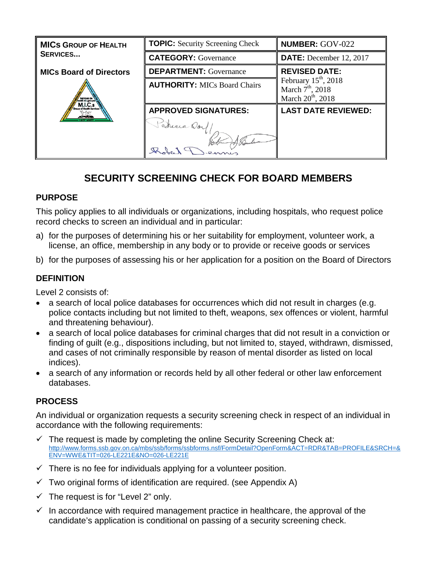| <b>MICS GROUP OF HEALTH</b><br><b>SERVICES</b> | <b>TOPIC:</b> Security Screening Check | <b>NUMBER: GOV-022</b>                       |
|------------------------------------------------|----------------------------------------|----------------------------------------------|
|                                                | <b>CATEGORY: Governance</b>            | <b>DATE:</b> December 12, 2017               |
| <b>MICs Board of Directors</b>                 | <b>DEPARTMENT:</b> Governance          | <b>REVISED DATE:</b>                         |
|                                                | <b>AUTHORITY: MICs Board Chairs</b>    | February $15th$ , 2018<br>March $7th$ , 2018 |
|                                                |                                        | March $20^{th}$ , 2018                       |
|                                                | <b>APPROVED SIGNATURES:</b>            | <b>LAST DATE REVIEWED:</b>                   |
|                                                | Patricia Doy                           |                                              |
|                                                |                                        |                                              |
|                                                |                                        |                                              |

# **SECURITY SCREENING CHECK FOR BOARD MEMBERS**

## **PURPOSE**

This policy applies to all individuals or organizations, including hospitals, who request police record checks to screen an individual and in particular:

- a) for the purposes of determining his or her suitability for employment, volunteer work, a license, an office, membership in any body or to provide or receive goods or services
- b) for the purposes of assessing his or her application for a position on the Board of Directors

#### **DEFINITION**

Level 2 consists of:

- a search of local police databases for occurrences which did not result in charges (e.g. police contacts including but not limited to theft, weapons, sex offences or violent, harmful and threatening behaviour).
- a search of local police databases for criminal charges that did not result in a conviction or finding of guilt (e.g., dispositions including, but not limited to, stayed, withdrawn, dismissed, and cases of not criminally responsible by reason of mental disorder as listed on local indices).
- a search of any information or records held by all other federal or other law enforcement databases.

## **PROCESS**

An individual or organization requests a security screening check in respect of an individual in accordance with the following requirements:

- $\checkmark$  The request is made by completing the online Security Screening Check at: [http://www.forms.ssb.gov.on.ca/mbs/ssb/forms/ssbforms.nsf/FormDetail?OpenForm&ACT=RDR&TAB=PROFILE&SRCH=&](http://www.forms.ssb.gov.on.ca/mbs/ssb/forms/ssbforms.nsf/FormDetail?OpenForm&ACT=RDR&TAB=PROFILE&SRCH=&ENV=WWE&TIT=026-LE221E&NO=026-LE221E) [ENV=WWE&TIT=026-LE221E&NO=026-LE221E](http://www.forms.ssb.gov.on.ca/mbs/ssb/forms/ssbforms.nsf/FormDetail?OpenForm&ACT=RDR&TAB=PROFILE&SRCH=&ENV=WWE&TIT=026-LE221E&NO=026-LE221E)
- $\checkmark$  There is no fee for individuals applying for a volunteer position.
- $\checkmark$  Two original forms of identification are required. (see Appendix A)
- $\checkmark$  The request is for "Level 2" only.
- $\checkmark$  In accordance with required management practice in healthcare, the approval of the candidate's application is conditional on passing of a security screening check.